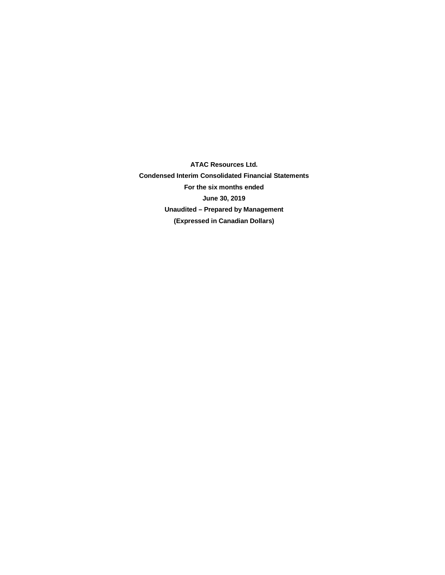**ATAC Resources Ltd. Condensed Interim Consolidated Financial Statements For the six months ended June 30, 2019 Unaudited – Prepared by Management (Expressed in Canadian Dollars)**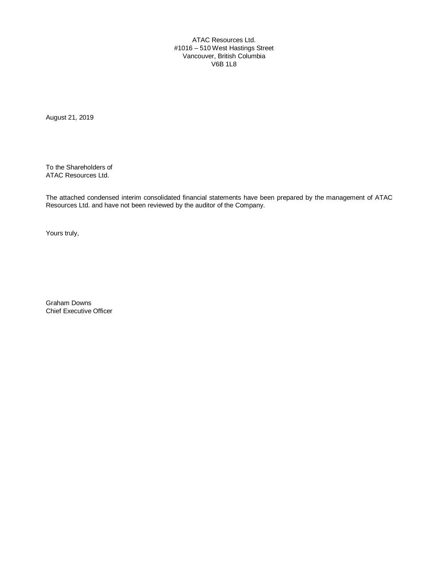ATAC Resources Ltd. #1016 – 510 West Hastings Street Vancouver, British Columbia V6B 1L8

August 21, 2019

To the Shareholders of ATAC Resources Ltd.

The attached condensed interim consolidated financial statements have been prepared by the management of ATAC Resources Ltd. and have not been reviewed by the auditor of the Company.

Yours truly,

Graham Downs Chief Executive Officer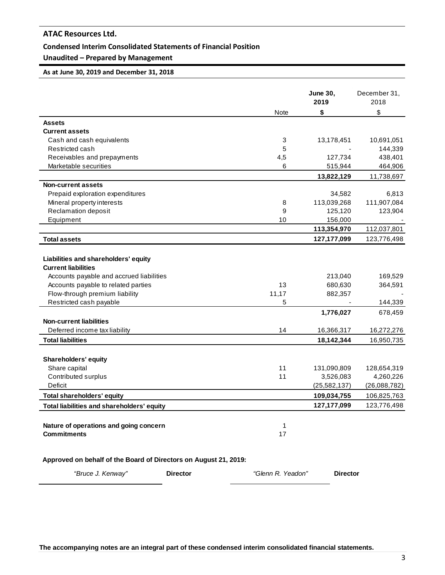### **Condensed Interim Consolidated Statements of Financial Position**

# **Unaudited – Prepared by Management**

#### **As at June 30, 2019 and December 31, 2018**

|                                                                    |             | <b>June 30,</b><br>2019 | December 31,<br>2018 |
|--------------------------------------------------------------------|-------------|-------------------------|----------------------|
|                                                                    | <b>Note</b> | \$                      | \$                   |
| <b>Assets</b>                                                      |             |                         |                      |
| <b>Current assets</b>                                              |             |                         |                      |
| Cash and cash equivalents                                          | 3           | 13,178,451              | 10,691,051           |
| Restricted cash                                                    | 5           |                         | 144,339              |
| Receivables and prepayments                                        | 4,5         | 127,734                 | 438,401              |
| Marketable securities                                              | 6           | 515,944                 | 464,906              |
|                                                                    |             | 13,822,129              | 11,738,697           |
| <b>Non-current assets</b>                                          |             |                         |                      |
| Prepaid exploration expenditures                                   |             | 34,582                  | 6,813                |
| Mineral property interests                                         | 8           | 113,039,268             | 111,907,084          |
| Reclamation deposit                                                | 9           | 125,120                 | 123,904              |
| Equipment                                                          | 10          | 156,000                 |                      |
|                                                                    |             | 113,354,970             | 112,037,801          |
| <b>Total assets</b>                                                |             | 127, 177, 099           | 123,776,498          |
| Liabilities and shareholders' equity<br><b>Current liabilities</b> |             |                         |                      |
| Accounts payable and accrued liabilities                           |             | 213,040                 | 169,529              |
| Accounts payable to related parties                                | 13          | 680,630                 | 364,591              |
| Flow-through premium liability                                     | 11,17       | 882,357                 |                      |
| Restricted cash payable                                            | 5           |                         | 144,339              |
|                                                                    |             | 1,776,027               | 678,459              |
| <b>Non-current liabilities</b>                                     |             |                         |                      |
| Deferred income tax liability                                      | 14          | 16,366,317              | 16,272,276           |
| <b>Total liabilities</b>                                           |             | 18,142,344              | 16,950,735           |
|                                                                    |             |                         |                      |
| Shareholders' equity                                               |             |                         |                      |
| Share capital                                                      | 11          | 131,090,809             | 128,654,319          |
| Contributed surplus                                                | 11          | 3,526,083               | 4,260,226            |
| <b>Deficit</b>                                                     |             | (25, 582, 137)          | (26,088,782)         |
| <b>Total shareholders' equity</b>                                  |             | 109,034,755             | 106,825,763          |
| Total liabilities and shareholders' equity                         |             | 127, 177, 099           | 123,776,498          |
|                                                                    |             |                         |                      |
| Nature of operations and going concern                             | 1           |                         |                      |
| <b>Commitments</b>                                                 | 17          |                         |                      |
|                                                                    |             |                         |                      |
| Approved on behalf of the Board of Directors on August 21, 2019:   |             |                         |                      |

**The accompanying notes are an integral part of these condensed interim consolidated financial statements.**

*"Bruce J. Kenway"* **Director** *"Glenn R. Yeadon"* **Director**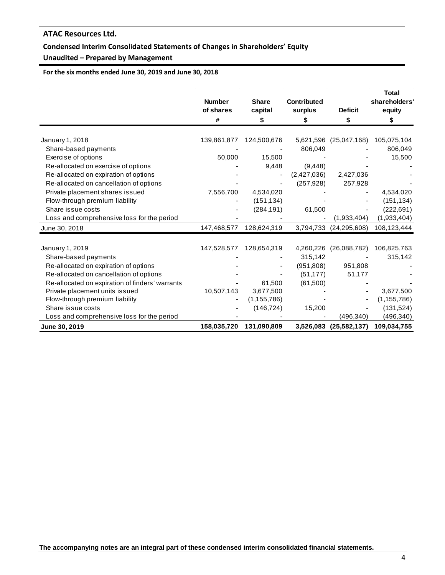### **Condensed Interim Consolidated Statements of Changes in Shareholders' Equity**

# **Unaudited – Prepared by Management**

**For the six months ended June 30, 2019 and June 30, 2018**

|                                                 | <b>Number</b><br>of shares<br># | <b>Share</b><br>capital<br>\$ | <b>Contributed</b><br>surplus<br>\$ | <b>Deficit</b><br>\$   | <b>Total</b><br>shareholders'<br>equity<br>S |
|-------------------------------------------------|---------------------------------|-------------------------------|-------------------------------------|------------------------|----------------------------------------------|
|                                                 |                                 |                               |                                     |                        |                                              |
| January 1, 2018                                 | 139,861,877                     | 124,500,676                   |                                     | 5,621,596 (25,047,168) | 105,075,104                                  |
| Share-based payments                            |                                 |                               | 806,049                             |                        | 806,049                                      |
| Exercise of options                             | 50,000                          | 15,500                        |                                     |                        | 15,500                                       |
| Re-allocated on exercise of options             |                                 | 9,448                         | (9, 448)                            |                        |                                              |
| Re-allocated on expiration of options           |                                 |                               | (2,427,036)                         | 2,427,036              |                                              |
| Re-allocated on cancellation of options         |                                 |                               | (257, 928)                          | 257,928                |                                              |
| Private placement shares issued                 | 7,556,700                       | 4,534,020                     |                                     |                        | 4,534,020                                    |
| Flow-through premium liability                  |                                 | (151, 134)                    |                                     |                        | (151, 134)                                   |
| Share issue costs                               |                                 | (284, 191)                    | 61,500                              |                        | (222, 691)                                   |
| Loss and comprehensive loss for the period      |                                 |                               |                                     | (1,933,404)            | (1,933,404)                                  |
| June 30, 2018                                   | 147,468,577                     | 128,624,319                   | 3,794,733                           | (24, 295, 608)         | 108,123,444                                  |
|                                                 |                                 |                               |                                     |                        |                                              |
| January 1, 2019                                 | 147,528,577                     | 128,654,319                   | 4,260,226                           | (26,088,782)           | 106,825,763                                  |
| Share-based payments                            |                                 |                               | 315,142                             |                        | 315,142                                      |
| Re-allocated on expiration of options           |                                 |                               | (951, 808)                          | 951,808                |                                              |
| Re-allocated on cancellation of options         |                                 |                               | (51, 177)                           | 51,177                 |                                              |
| Re-allocated on expiration of finders' warrants |                                 | 61,500                        | (61,500)                            |                        |                                              |
| Private placement units issued                  | 10,507,143                      | 3,677,500                     |                                     |                        | 3,677,500                                    |
| Flow-through premium liability                  |                                 | (1, 155, 786)                 |                                     |                        | (1, 155, 786)                                |
| Share issue costs                               |                                 | (146, 724)                    | 15,200                              |                        | (131, 524)                                   |
| Loss and comprehensive loss for the period      |                                 |                               |                                     | (496, 340)             | (496,340)                                    |
| June 30, 2019                                   | 158,035,720                     | 131,090,809                   |                                     | 3,526,083 (25,582,137) | 109,034,755                                  |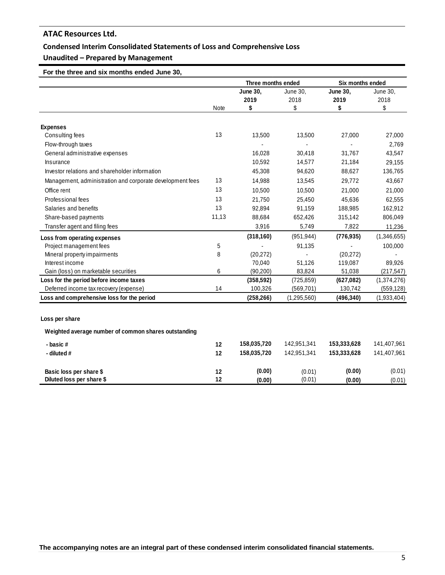## **Condensed Interim Consolidated Statements of Loss and Comprehensive Loss**

# **Unaudited – Prepared by Management**

 **For the three and six months ended June 30,** 

|                                                           |             | Three months ended |               | Six months ended |             |
|-----------------------------------------------------------|-------------|--------------------|---------------|------------------|-------------|
|                                                           |             | June 30,           | June 30,      | <b>June 30,</b>  | June 30,    |
|                                                           |             | 2019               | 2018          | 2019             | 2018        |
|                                                           | <b>Note</b> | \$                 | \$            | \$               | \$          |
|                                                           |             |                    |               |                  |             |
| <b>Expenses</b>                                           |             |                    |               |                  |             |
| Consulting fees                                           | 13          | 13,500             | 13,500        | 27,000           | 27,000      |
| Flow-through taxes                                        |             |                    |               |                  | 2,769       |
| General administrative expenses                           |             | 16,028             | 30,418        | 31,767           | 43,547      |
| Insurance                                                 |             | 10,592             | 14,577        | 21,184           | 29,155      |
| Investor relations and shareholder information            |             | 45,308             | 94,620        | 88,627           | 136,765     |
| Management, administration and corporate development fees | 13          | 14,988             | 13,545        | 29,772           | 43,667      |
| Office rent                                               | 13          | 10,500             | 10,500        | 21,000           | 21,000      |
| Professional fees                                         | 13          | 21,750             | 25,450        | 45,636           | 62,555      |
| Salaries and benefits                                     | 13          | 92,894             | 91,159        | 188,985          | 162,912     |
| Share-based payments                                      | 11,13       | 88,684             | 652,426       | 315,142          | 806,049     |
| Transfer agent and filing fees                            |             | 3,916              | 5,749         | 7,822            | 11,236      |
| Loss from operating expenses                              |             | (318, 160)         | (951, 944)    | (776, 935)       | (1,346,655) |
| Project management fees                                   | 5           |                    | 91,135        |                  | 100,000     |
| Mineral property impairments                              | 8           | (20, 272)          |               | (20, 272)        |             |
| Interest income                                           |             | 70,040             | 51,126        | 119,087          | 89,926      |
| Gain (loss) on marketable securities                      | 6           | (90, 200)          | 83,824        | 51,038           | (217, 547)  |
| Loss for the period before income taxes                   |             | (358, 592)         | (725, 859)    | (627,082)        | (1,374,276) |
| Deferred income tax recovery (expense)                    | 14          | 100,326            | (569, 701)    | 130,742          | (559, 128)  |
| Loss and comprehensive loss for the period                |             | (258, 266)         | (1, 295, 560) | (496, 340)       | (1,933,404) |
|                                                           |             |                    |               |                  |             |
| Loss per share                                            |             |                    |               |                  |             |
| Weighted average number of common shares outstanding      |             |                    |               |                  |             |
| - basic#                                                  | 12          | 158,035,720        | 142,951,341   | 153,333,628      | 141,407,961 |
| - diluted #                                               | 12          | 158,035,720        | 142,951,341   | 153,333,628      | 141,407,961 |
| Basic loss per share \$                                   | 12          | (0.00)             | (0.01)        | (0.00)           | (0.01)      |
| Diluted loss per share \$                                 | 12          | (0.00)             | (0.01)        | (0.00)           | (0.01)      |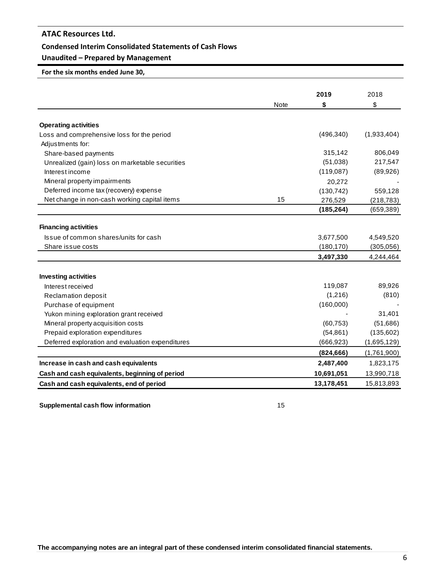#### **Condensed Interim Consolidated Statements of Cash Flows**

# **Unaudited – Prepared by Management**

**For the six months ended June 30,**

|                                                  |             | 2019       | 2018        |
|--------------------------------------------------|-------------|------------|-------------|
|                                                  | <b>Note</b> | \$         | \$          |
| <b>Operating activities</b>                      |             |            |             |
| Loss and comprehensive loss for the period       |             | (496, 340) | (1,933,404) |
| Adjustments for:                                 |             |            |             |
| Share-based payments                             |             | 315,142    | 806,049     |
| Unrealized (gain) loss on marketable securities  |             | (51,038)   | 217,547     |
| Interest income                                  |             | (119,087)  | (89, 926)   |
| Mineral property impairments                     |             | 20,272     |             |
| Deferred income tax (recovery) expense           |             | (130, 742) | 559,128     |
| Net change in non-cash working capital items     | 15          | 276,529    | (218, 783)  |
|                                                  |             | (185, 264) | (659, 389)  |
| <b>Financing activities</b>                      |             |            |             |
| Issue of common shares/units for cash            |             | 3,677,500  | 4,549,520   |
| Share issue costs                                |             | (180, 170) | (305,056)   |
|                                                  |             | 3,497,330  | 4,244,464   |
|                                                  |             |            |             |
| <b>Investing activities</b>                      |             |            |             |
| Interest received                                |             | 119,087    | 89,926      |
| Reclamation deposit                              |             | (1,216)    | (810)       |
| Purchase of equipment                            |             | (160,000)  |             |
| Yukon mining exploration grant received          |             |            | 31,401      |
| Mineral property acquisition costs               |             | (60, 753)  | (51,686)    |
| Prepaid exploration expenditures                 |             | (54, 861)  | (135,602)   |
| Deferred exploration and evaluation expenditures |             | (666, 923) | (1,695,129) |
|                                                  |             | (824, 666) | (1,761,900) |
| Increase in cash and cash equivalents            |             | 2,487,400  | 1,823,175   |
| Cash and cash equivalents, beginning of period   |             | 10,691,051 | 13,990,718  |
| Cash and cash equivalents, end of period         |             | 13,178,451 | 15,813,893  |

**Supplemental cash flow information** 15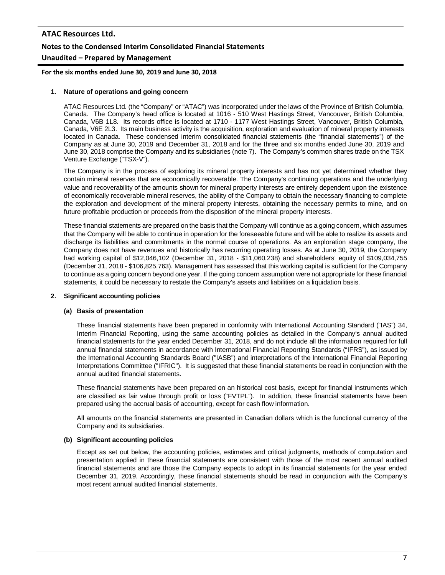# **ATAC Resources Ltd. Notes to the Condensed Interim Consolidated Financial Statements Unaudited – Prepared by Management**

**For the six months ended June 30, 2019 and June 30, 2018**

#### **1. Nature of operations and going concern**

ATAC Resources Ltd. (the "Company" or "ATAC") was incorporated under the laws of the Province of British Columbia, Canada. The Company's head office is located at 1016 - 510 West Hastings Street, Vancouver, British Columbia, Canada, V6B 1L8. Its records office is located at 1710 - 1177 West Hastings Street, Vancouver, British Columbia, Canada, V6E 2L3. Its main business activity is the acquisition, exploration and evaluation of mineral property interests located in Canada. These condensed interim consolidated financial statements (the "financial statements") of the Company as at June 30, 2019 and December 31, 2018 and for the three and six months ended June 30, 2019 and June 30, 2018 comprise the Company and its subsidiaries (note 7). The Company's common shares trade on the TSX Venture Exchange ("TSX-V").

The Company is in the process of exploring its mineral property interests and has not yet determined whether they contain mineral reserves that are economically recoverable. The Company's continuing operations and the underlying value and recoverability of the amounts shown for mineral property interests are entirely dependent upon the existence of economically recoverable mineral reserves, the ability of the Company to obtain the necessary financing to complete the exploration and development of the mineral property interests, obtaining the necessary permits to mine, and on future profitable production or proceeds from the disposition of the mineral property interests.

These financial statements are prepared on the basis that the Company will continue as a going concern, which assumes that the Company will be able to continue in operation for the foreseeable future and will be able to realize its assets and discharge its liabilities and commitments in the normal course of operations. As an exploration stage company, the Company does not have revenues and historically has recurring operating losses. As at June 30, 2019, the Company had working capital of \$12,046,102 (December 31, 2018 - \$11,060,238) and shareholders' equity of \$109,034,755 (December 31, 2018 - \$106,825,763). Management has assessed that this working capital is sufficient for the Company to continue as a going concern beyond one year. If the going concern assumption were not appropriate for these financial statements, it could be necessary to restate the Company's assets and liabilities on a liquidation basis.

### **2. Significant accounting policies**

#### **(a) Basis of presentation**

These financial statements have been prepared in conformity with International Accounting Standard ("IAS") 34, Interim Financial Reporting, using the same accounting policies as detailed in the Company's annual audited financial statements for the year ended December 31, 2018, and do not include all the information required for full annual financial statements in accordance with International Financial Reporting Standards ("IFRS"), as issued by the International Accounting Standards Board ("IASB") and interpretations of the International Financial Reporting Interpretations Committee ("IFRIC"). It is suggested that these financial statements be read in conjunction with the annual audited financial statements.

These financial statements have been prepared on an historical cost basis, except for financial instruments which are classified as fair value through profit or loss ("FVTPL"). In addition, these financial statements have been prepared using the accrual basis of accounting, except for cash flow information.

All amounts on the financial statements are presented in Canadian dollars which is the functional currency of the Company and its subsidiaries.

#### **(b) Significant accounting policies**

Except as set out below, the accounting policies, estimates and critical judgments, methods of computation and presentation applied in these financial statements are consistent with those of the most recent annual audited financial statements and are those the Company expects to adopt in its financial statements for the year ended December 31, 2019. Accordingly, these financial statements should be read in conjunction with the Company's most recent annual audited financial statements.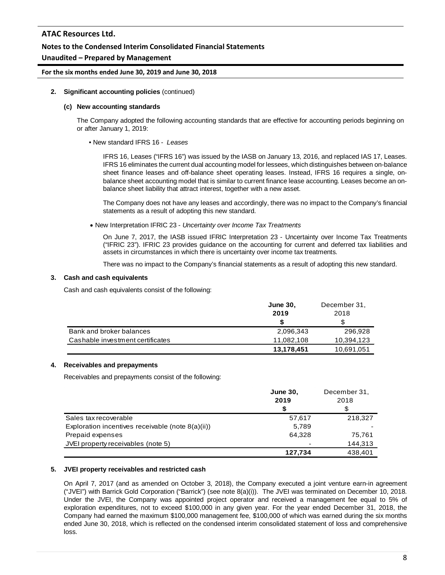### **Notes to the Condensed Interim Consolidated Financial Statements**

### **Unaudited – Prepared by Management**

#### **For the six months ended June 30, 2019 and June 30, 2018**

#### **2. Significant accounting policies** (continued)

#### **(c) New accounting standards**

The Company adopted the following accounting standards that are effective for accounting periods beginning on or after January 1, 2019:

• New standard IFRS 16 - *Leases*

IFRS 16, Leases ("IFRS 16") was issued by the IASB on January 13, 2016, and replaced IAS 17, Leases. IFRS 16 eliminates the current dual accounting model for lessees, which distinguishes between on-balance sheet finance leases and off-balance sheet operating leases. Instead, IFRS 16 requires a single, onbalance sheet accounting model that is similar to current finance lease accounting. Leases become an onbalance sheet liability that attract interest, together with a new asset.

The Company does not have any leases and accordingly, there was no impact to the Company's financial statements as a result of adopting this new standard.

• New Interpretation IFRIC 23 - *Uncertainty over Income Tax Treatments*

On June 7, 2017, the IASB issued IFRIC Interpretation 23 - Uncertainty over Income Tax Treatments ("IFRIC 23"). IFRIC 23 provides guidance on the accounting for current and deferred tax liabilities and assets in circumstances in which there is uncertainty over income tax treatments.

There was no impact to the Company's financial statements as a result of adopting this new standard.

#### **3. Cash and cash equivalents**

Cash and cash equivalents consist of the following:

|                                  | <b>June 30,</b> | December 31, |
|----------------------------------|-----------------|--------------|
|                                  | 2019            | 2018         |
|                                  |                 |              |
| Bank and broker balances         | 2,096,343       | 296.928      |
| Cashable investment certificates | 11.082.108      | 10,394,123   |
|                                  | 13,178,451      | 10,691,051   |

#### **4. Receivables and prepayments**

Receivables and prepayments consist of the following:

|                                                      | <b>June 30.</b> | December 31, |
|------------------------------------------------------|-----------------|--------------|
|                                                      | 2019            | 2018         |
|                                                      | S               |              |
| Sales tax recoverable                                | 57,617          | 218,327      |
| Exploration incentives receivable (note $8(a)(ii)$ ) | 5.789           |              |
| Prepaid expenses                                     | 64.328          | 75.761       |
| JVEI property receivables (note 5)                   |                 | 144,313      |
|                                                      | 127,734         | 438.401      |

### **5. JVEI property receivables and restricted cash**

On April 7, 2017 (and as amended on October 3, 2018), the Company executed a joint venture earn-in agreement ("JVEI") with Barrick Gold Corporation ("Barrick") (see note 8(a)(i)). The JVEI was terminated on December 10, 2018. Under the JVEI, the Company was appointed project operator and received a management fee equal to 5% of exploration expenditures, not to exceed \$100,000 in any given year. For the year ended December 31, 2018, the Company had earned the maximum \$100,000 management fee, \$100,000 of which was earned during the six months ended June 30, 2018, which is reflected on the condensed interim consolidated statement of loss and comprehensive loss.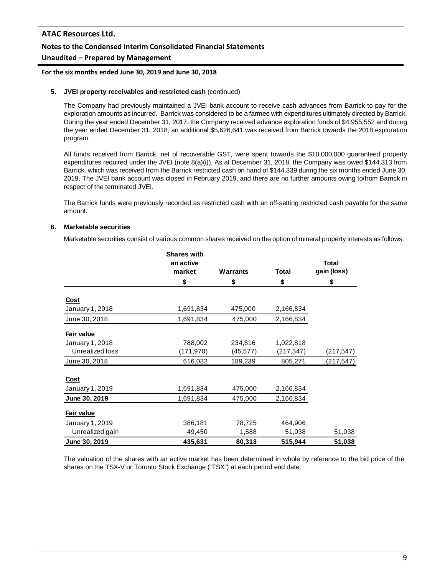# **Notes to the Condensed Interim Consolidated Financial Statements**

### **Unaudited – Prepared by Management**

**For the six months ended June 30, 2019 and June 30, 2018**

#### **5. JVEI property receivables and restricted cash** (continued)

The Company had previously maintained a JVEI bank account to receive cash advances from Barrick to pay for the exploration amounts as incurred. Barrick was considered to be a farmee with expenditures ultimately directed by Barrick. During the year ended December 31, 2017, the Company received advance exploration funds of \$4,955,552 and during the year ended December 31, 2018, an additional \$5,626,641 was received from Barrick towards the 2018 exploration program.

All funds received from Barrick, net of recoverable GST, were spent towards the \$10,000,000 guaranteed property expenditures required under the JVEI (note 8(a)(i)). As at December 31, 2018, the Company was owed \$144,313 from Barrick, which was received from the Barrick restricted cash on hand of \$144,339 during the six months ended June 30, 2019. The JVEI bank account was closed in February 2019, and there are no further amounts owing to/from Barrick in respect of the terminated JVEI.

The Barrick funds were previously recorded as restricted cash with an off-setting restricted cash payable for the same amount.

### **6. Marketable securities**

Marketable securities consist of various common shares received on the option of mineral property interests as follows:

|                 | <b>Shares with</b>  |                 |              |                             |
|-----------------|---------------------|-----------------|--------------|-----------------------------|
|                 | an active<br>market | <b>Warrants</b> | <b>Total</b> | <b>Total</b><br>gain (loss) |
|                 | \$                  | \$              | \$           | \$                          |
| <u>Cost</u>     |                     |                 |              |                             |
| January 1, 2018 | 1,691,834           | 475,000         | 2,166,834    |                             |
| June 30, 2018   | 1,691,834           | 475,000         | 2,166,834    |                             |
| Fair value      |                     |                 |              |                             |
| January 1, 2018 | 788,002             | 234,816         | 1,022,818    |                             |
| Unrealized loss | (171,970)           | (45, 577)       | (217,547)    | (217,547)                   |
| June 30, 2018   | 616,032             | 189,239         | 805,271      | (217,547)                   |
| <b>Cost</b>     |                     |                 |              |                             |
| January 1, 2019 | 1,691,834           | 475,000         | 2,166,834    |                             |
| June 30, 2019   | 1,691,834           | 475,000         | 2,166,834    |                             |
| Fair value      |                     |                 |              |                             |
| January 1, 2019 | 386,181             | 78,725          | 464,906      |                             |
| Unrealized gain | 49,450              | 1,588           | 51,038       | 51,038                      |
| June 30, 2019   | 435,631             | 80,313          | 515,944      | 51,038                      |

The valuation of the shares with an active market has been determined in whole by reference to the bid price of the shares on the TSX-V or Toronto Stock Exchange ("TSX") at each period end date.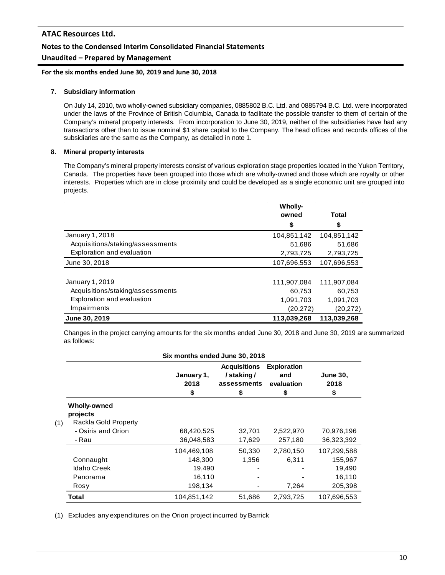### **Notes to the Condensed Interim Consolidated Financial Statements**

### **Unaudited – Prepared by Management**

**For the six months ended June 30, 2019 and June 30, 2018**

#### **7. Subsidiary information**

On July 14, 2010, two wholly-owned subsidiary companies, 0885802 B.C. Ltd. and 0885794 B.C. Ltd. were incorporated under the laws of the Province of British Columbia, Canada to facilitate the possible transfer to them of certain of the Company's mineral property interests. From incorporation to June 30, 2019, neither of the subsidiaries have had any transactions other than to issue nominal \$1 share capital to the Company. The head offices and records offices of the subsidiaries are the same as the Company, as detailed in note 1.

#### **8. Mineral property interests**

The Company's mineral property interests consist of various exploration stage properties located in the Yukon Territory, Canada. The properties have been grouped into those which are wholly-owned and those which are royalty or other interests. Properties which are in close proximity and could be developed as a single economic unit are grouped into projects.

|                                  | <b>Wholly-</b> |             |
|----------------------------------|----------------|-------------|
|                                  | owned          | Total       |
|                                  | \$             | \$          |
| January 1, 2018                  | 104,851,142    | 104,851,142 |
| Acquisitions/staking/assessments | 51,686         | 51,686      |
| Exploration and evaluation       | 2,793,725      | 2,793,725   |
| June 30, 2018                    | 107,696,553    | 107,696,553 |
|                                  |                |             |
| January 1, 2019                  | 111,907,084    | 111,907,084 |
| Acquisitions/staking/assessments | 60,753         | 60,753      |
| Exploration and evaluation       | 1,091,703      | 1,091,703   |
| Impairments                      | (20, 272)      | (20, 272)   |
| June 30, 2019                    | 113,039,268    | 113.039.268 |

Changes in the project carrying amounts for the six months ended June 30, 2018 and June 30, 2019 are summarized as follows:

| Six months ended June 30, 2018                                 |                          |                                                       |                                               |                               |  |  |
|----------------------------------------------------------------|--------------------------|-------------------------------------------------------|-----------------------------------------------|-------------------------------|--|--|
|                                                                | January 1,<br>2018<br>\$ | <b>Acquisitions</b><br>/staking/<br>assessments<br>\$ | <b>Exploration</b><br>and<br>evaluation<br>\$ | <b>June 30,</b><br>2018<br>\$ |  |  |
| <b>Wholly-owned</b><br>projects<br>Rackla Gold Property<br>(1) |                          |                                                       |                                               |                               |  |  |
| - Osiris and Orion<br>- Rau                                    | 68,420,525<br>36,048,583 | 32,701<br>17,629                                      | 2,522,970<br>257,180                          | 70,976,196<br>36,323,392      |  |  |
|                                                                | 104,469,108              | 50,330                                                | 2,780,150                                     | 107,299,588                   |  |  |
| Connaught                                                      | 148.300                  | 1,356                                                 | 6,311                                         | 155,967                       |  |  |
| <b>Idaho Creek</b>                                             | 19,490                   |                                                       |                                               | 19,490                        |  |  |
| Panorama                                                       | 16,110                   |                                                       |                                               | 16,110                        |  |  |
| Rosy                                                           | 198,134                  |                                                       | 7,264                                         | 205,398                       |  |  |
| Total                                                          | 104,851,142              | 51,686                                                | 2,793,725                                     | 107,696,553                   |  |  |

(1) Excludes any expenditures on the Orion project incurred by Barrick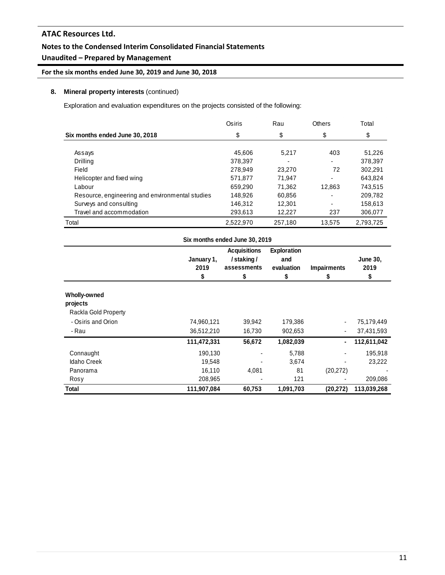## **Notes to the Condensed Interim Consolidated Financial Statements**

# **Unaudited – Prepared by Management**

**For the six months ended June 30, 2019 and June 30, 2018**

### **8. Mineral property interests** (continued)

Exploration and evaluation expenditures on the projects consisted of the following:

|                                                 | Osiris    | Rau     | <b>Others</b> | Total     |
|-------------------------------------------------|-----------|---------|---------------|-----------|
| Six months ended June 30, 2018                  | \$        | \$      | \$            | \$        |
|                                                 |           |         |               |           |
| Assays                                          | 45.606    | 5.217   | 403           | 51,226    |
| Drilling                                        | 378,397   |         |               | 378,397   |
| Field                                           | 278.949   | 23,270  | 72            | 302.291   |
| Helicopter and fixed wing                       | 571.877   | 71.947  |               | 643.824   |
| Labour                                          | 659.290   | 71.362  | 12,863        | 743.515   |
| Resource, engineering and environmental studies | 148.926   | 60,856  |               | 209.782   |
| Surveys and consulting                          | 146,312   | 12,301  |               | 158,613   |
| Travel and accommodation                        | 293,613   | 12.227  | 237           | 306,077   |
| Total                                           | 2,522,970 | 257,180 | 13.575        | 2,793,725 |

|                      |                          | Six months ended June 30, 2019                       |                                        |                         |                               |
|----------------------|--------------------------|------------------------------------------------------|----------------------------------------|-------------------------|-------------------------------|
|                      | January 1,<br>2019<br>\$ | <b>Acquisitions</b><br>/staking/<br>assessments<br>S | Exploration<br>and<br>evaluation<br>\$ | <b>Impairments</b><br>S | <b>June 30,</b><br>2019<br>\$ |
| Wholly-owned         |                          |                                                      |                                        |                         |                               |
| projects             |                          |                                                      |                                        |                         |                               |
| Rackla Gold Property |                          |                                                      |                                        |                         |                               |
| - Osiris and Orion   | 74,960,121               | 39,942                                               | 179,386                                |                         | 75,179,449                    |
| - Rau                | 36,512,210               | 16,730                                               | 902,653                                |                         | 37,431,593                    |
|                      | 111,472,331              | 56,672                                               | 1,082,039                              | ٠                       | 112,611,042                   |
| Connaught            | 190,130                  |                                                      | 5,788                                  |                         | 195,918                       |
| <b>Idaho Creek</b>   | 19,548                   |                                                      | 3,674                                  |                         | 23,222                        |
| Panorama             | 16,110                   | 4,081                                                | 81                                     | (20, 272)               |                               |
| Rosy                 | 208,965                  |                                                      | 121                                    |                         | 209,086                       |
| Total                | 111,907,084              | 60,753                                               | 1,091,703                              | (20, 272)               | 113,039,268                   |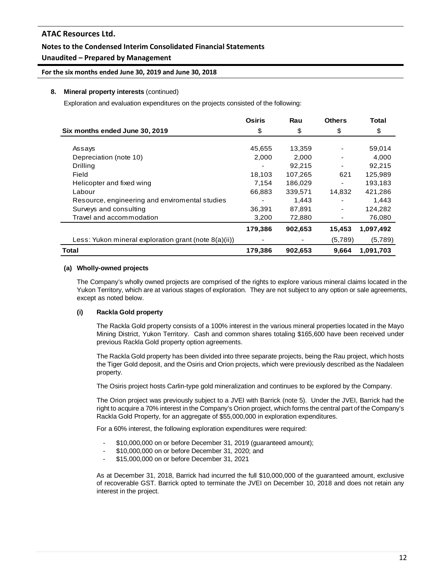### **Notes to the Condensed Interim Consolidated Financial Statements**

### **Unaudited – Prepared by Management**

#### **For the six months ended June 30, 2019 and June 30, 2018**

#### **8. Mineral property interests** (continued)

Exploration and evaluation expenditures on the projects consisted of the following:

|                                                          | Osiris  | Rau     | <b>Others</b> | Total     |
|----------------------------------------------------------|---------|---------|---------------|-----------|
| Six months ended June 30, 2019                           | \$      | \$      | \$            | \$        |
|                                                          |         |         |               |           |
| Assays                                                   | 45,655  | 13,359  |               | 59,014    |
| Depreciation (note 10)                                   | 2,000   | 2,000   |               | 4,000     |
| <b>Drilling</b>                                          |         | 92.215  |               | 92.215    |
| Field                                                    | 18,103  | 107,265 | 621           | 125,989   |
| Helicopter and fixed wing                                | 7,154   | 186,029 |               | 193,183   |
| Labour                                                   | 66,883  | 339,571 | 14,832        | 421,286   |
| Resource, engineering and enviromental studies           |         | 1,443   |               | 1,443     |
| Surveys and consulting                                   | 36,391  | 87,891  |               | 124,282   |
| Travel and accommodation                                 | 3,200   | 72,880  |               | 76,080    |
|                                                          | 179,386 | 902,653 | 15,453        | 1,097,492 |
| Less: Yukon mineral exploration grant (note $8(a)(ii)$ ) |         |         | (5,789)       | (5,789)   |
| Total                                                    | 179,386 | 902,653 | 9,664         | 1,091,703 |

#### **(a) Wholly-owned projects**

The Company's wholly owned projects are comprised of the rights to explore various mineral claims located in the Yukon Territory, which are at various stages of exploration. They are not subject to any option or sale agreements, except as noted below.

### **(i) Rackla Gold property**

The Rackla Gold property consists of a 100% interest in the various mineral properties located in the Mayo Mining District, Yukon Territory. Cash and common shares totaling \$165,600 have been received under previous Rackla Gold property option agreements.

The Rackla Gold property has been divided into three separate projects, being the Rau project, which hosts the Tiger Gold deposit, and the Osiris and Orion projects, which were previously described as the Nadaleen property.

The Osiris project hosts Carlin-type gold mineralization and continues to be explored by the Company.

The Orion project was previously subject to a JVEI with Barrick (note 5). Under the JVEI, Barrick had the right to acquire a 70% interest in the Company's Orion project, which forms the central part of the Company's Rackla Gold Property, for an aggregate of \$55,000,000 in exploration expenditures.

For a 60% interest, the following exploration expenditures were required:

- \$10,000,000 on or before December 31, 2019 (guaranteed amount);
- \$10,000,000 on or before December 31, 2020; and
- \$15,000,000 on or before December 31, 2021

As at December 31, 2018, Barrick had incurred the full \$10,000,000 of the guaranteed amount, exclusive of recoverable GST. Barrick opted to terminate the JVEI on December 10, 2018 and does not retain any interest in the project.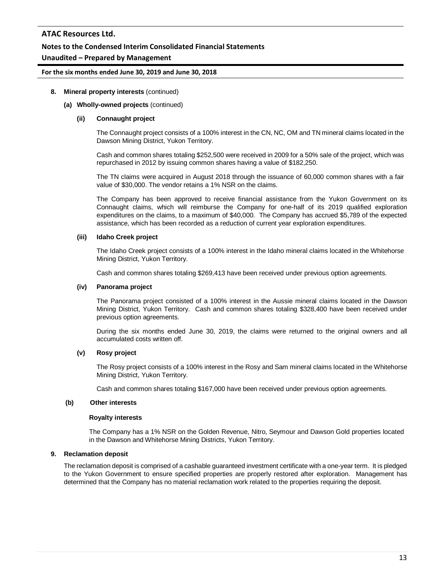### **Notes to the Condensed Interim Consolidated Financial Statements**

### **Unaudited – Prepared by Management**

#### **For the six months ended June 30, 2019 and June 30, 2018**

#### **8. Mineral property interests** (continued)

#### **(a) Wholly-owned projects** (continued)

#### **(ii) Connaught project**

The Connaught project consists of a 100% interest in the CN, NC, OM and TN mineral claims located in the Dawson Mining District, Yukon Territory.

Cash and common shares totaling \$252,500 were received in 2009 for a 50% sale of the project, which was repurchased in 2012 by issuing common shares having a value of \$182,250.

The TN claims were acquired in August 2018 through the issuance of 60,000 common shares with a fair value of \$30,000. The vendor retains a 1% NSR on the claims.

The Company has been approved to receive financial assistance from the Yukon Government on its Connaught claims, which will reimburse the Company for one-half of its 2019 qualified exploration expenditures on the claims, to a maximum of \$40,000. The Company has accrued \$5,789 of the expected assistance, which has been recorded as a reduction of current year exploration expenditures.

#### **(iii) Idaho Creek project**

The Idaho Creek project consists of a 100% interest in the Idaho mineral claims located in the Whitehorse Mining District, Yukon Territory.

Cash and common shares totaling \$269,413 have been received under previous option agreements.

#### **(iv) Panorama project**

The Panorama project consisted of a 100% interest in the Aussie mineral claims located in the Dawson Mining District, Yukon Territory. Cash and common shares totaling \$328,400 have been received under previous option agreements.

During the six months ended June 30, 2019, the claims were returned to the original owners and all accumulated costs written off.

### **(v) Rosy project**

The Rosy project consists of a 100% interest in the Rosy and Sam mineral claims located in the Whitehorse Mining District, Yukon Territory.

Cash and common shares totaling \$167,000 have been received under previous option agreements.

#### **(b) Other interests**

#### **Royalty interests**

The Company has a 1% NSR on the Golden Revenue, Nitro, Seymour and Dawson Gold properties located in the Dawson and Whitehorse Mining Districts, Yukon Territory.

### **9. Reclamation deposit**

The reclamation deposit is comprised of a cashable guaranteed investment certificate with a one-year term. It is pledged to the Yukon Government to ensure specified properties are properly restored after exploration. Management has determined that the Company has no material reclamation work related to the properties requiring the deposit.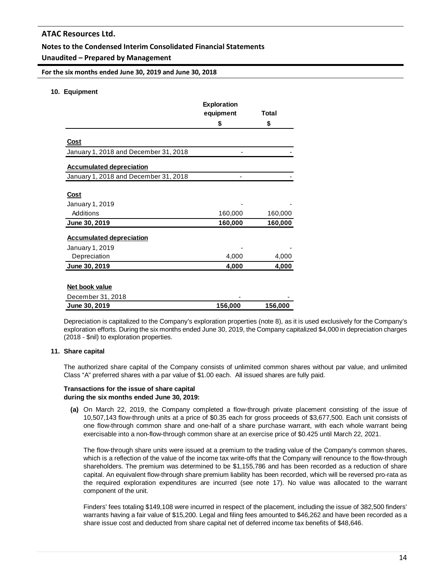### **Notes to the Condensed Interim Consolidated Financial Statements**

### **Unaudited – Prepared by Management**

**For the six months ended June 30, 2019 and June 30, 2018**

#### **10. Equipment**

|                                                      | <b>Exploration</b> | Total          |
|------------------------------------------------------|--------------------|----------------|
|                                                      | equipment<br>\$    | \$             |
|                                                      |                    |                |
| <b>Cost</b><br>January 1, 2018 and December 31, 2018 |                    |                |
| <b>Accumulated depreciation</b>                      |                    |                |
| January 1, 2018 and December 31, 2018                |                    |                |
| Cost                                                 |                    |                |
| January 1, 2019                                      |                    |                |
| Additions                                            | 160,000            | 160,000        |
| <u>June 30, 2019</u>                                 | 160,000            | <u>160,000</u> |
| <b>Accumulated depreciation</b>                      |                    |                |
| January 1, 2019                                      |                    |                |
| Depreciation                                         | 4,000              | 4,000          |
| June 30, 2019                                        | 4,000              | 4,000          |
| Net book value                                       |                    |                |
| December 31, 2018                                    |                    |                |
| June 30, 2019                                        | 156,000            | 156,000        |

Depreciation is capitalized to the Company's exploration properties (note 8), as it is used exclusively for the Company's exploration efforts. During the six months ended June 30, 2019, the Company capitalized \$4,000 in depreciation charges (2018 - \$nil) to exploration properties.

#### **11. Share capital**

The authorized share capital of the Company consists of unlimited common shares without par value, and unlimited Class "A" preferred shares with a par value of \$1.00 each. All issued shares are fully paid.

#### **Transactions for the issue of share capital during the six months ended June 30, 2019:**

**(a)** On March 22, 2019, the Company completed a flow-through private placement consisting of the issue of 10,507,143 flow-through units at a price of \$0.35 each for gross proceeds of \$3,677,500. Each unit consists of one flow-through common share and one-half of a share purchase warrant, with each whole warrant being exercisable into a non-flow-through common share at an exercise price of \$0.425 until March 22, 2021.

The flow-through share units were issued at a premium to the trading value of the Company's common shares, which is a reflection of the value of the income tax write-offs that the Company will renounce to the flow-through shareholders. The premium was determined to be \$1,155,786 and has been recorded as a reduction of share capital. An equivalent flow-through share premium liability has been recorded, which will be reversed pro-rata as the required exploration expenditures are incurred (see note 17). No value was allocated to the warrant component of the unit.

Finders' fees totaling \$149,108 were incurred in respect of the placement, including the issue of 382,500 finders' warrants having a fair value of \$15,200. Legal and filing fees amounted to \$46,262 and have been recorded as a share issue cost and deducted from share capital net of deferred income tax benefits of \$48,646.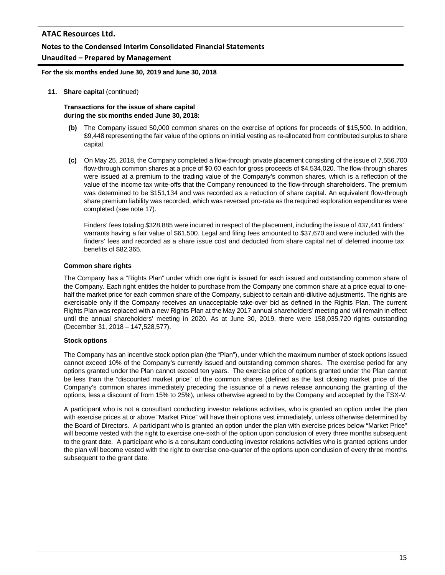### **Notes to the Condensed Interim Consolidated Financial Statements**

### **Unaudited – Prepared by Management**

**For the six months ended June 30, 2019 and June 30, 2018**

#### **11. Share capital** (continued)

#### **Transactions for the issue of share capital during the six months ended June 30, 2018:**

- **(b)** The Company issued 50,000 common shares on the exercise of options for proceeds of \$15,500. In addition, \$9,448 representing the fair value of the options on initial vesting as re-allocated from contributed surplus to share capital.
- **(c)** On May 25, 2018, the Company completed a flow-through private placement consisting of the issue of 7,556,700 flow-through common shares at a price of \$0.60 each for gross proceeds of \$4,534,020. The flow-through shares were issued at a premium to the trading value of the Company's common shares, which is a reflection of the value of the income tax write-offs that the Company renounced to the flow-through shareholders. The premium was determined to be \$151,134 and was recorded as a reduction of share capital. An equivalent flow-through share premium liability was recorded, which was reversed pro-rata as the required exploration expenditures were completed (see note 17).

Finders' fees totaling \$328,885 were incurred in respect of the placement, including the issue of 437,441 finders' warrants having a fair value of \$61,500. Legal and filing fees amounted to \$37,670 and were included with the finders' fees and recorded as a share issue cost and deducted from share capital net of deferred income tax benefits of \$82,365.

### **Common share rights**

The Company has a "Rights Plan" under which one right is issued for each issued and outstanding common share of the Company. Each right entitles the holder to purchase from the Company one common share at a price equal to onehalf the market price for each common share of the Company, subject to certain anti-dilutive adjustments. The rights are exercisable only if the Company receives an unacceptable take-over bid as defined in the Rights Plan. The current Rights Plan was replaced with a new Rights Plan at the May 2017 annual shareholders' meeting and will remain in effect until the annual shareholders' meeting in 2020. As at June 30, 2019, there were 158,035,720 rights outstanding (December 31, 2018 – 147,528,577).

### **Stock options**

The Company has an incentive stock option plan (the "Plan"), under which the maximum number of stock options issued cannot exceed 10% of the Company's currently issued and outstanding common shares. The exercise period for any options granted under the Plan cannot exceed ten years. The exercise price of options granted under the Plan cannot be less than the "discounted market price" of the common shares (defined as the last closing market price of the Company's common shares immediately preceding the issuance of a news release announcing the granting of the options, less a discount of from 15% to 25%), unless otherwise agreed to by the Company and accepted by the TSX-V.

A participant who is not a consultant conducting investor relations activities, who is granted an option under the plan with exercise prices at or above "Market Price" will have their options vest immediately, unless otherwise determined by the Board of Directors. A participant who is granted an option under the plan with exercise prices below "Market Price" will become vested with the right to exercise one-sixth of the option upon conclusion of every three months subsequent to the grant date. A participant who is a consultant conducting investor relations activities who is granted options under the plan will become vested with the right to exercise one-quarter of the options upon conclusion of every three months subsequent to the grant date.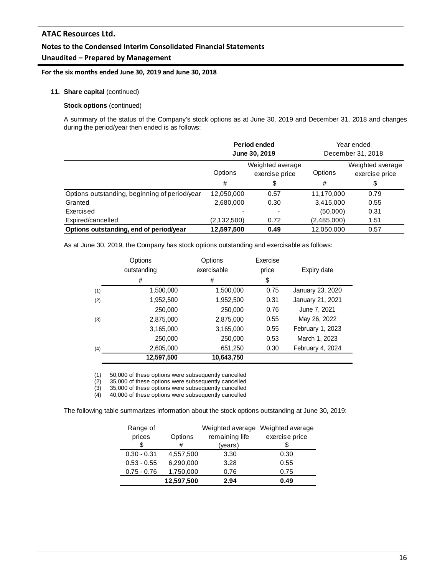#### **Notes to the Condensed Interim Consolidated Financial Statements**

### **Unaudited – Prepared by Management**

#### **For the six months ended June 30, 2019 and June 30, 2018**

#### **11. Share capital** (continued)

#### **Stock options** (continued)

A summary of the status of the Company's stock options as at June 30, 2019 and December 31, 2018 and changes during the period/year then ended is as follows:

|                                               | Period ended<br>June 30, 2019 |                                    | Year ended<br>December 31, 2018 |                                    |
|-----------------------------------------------|-------------------------------|------------------------------------|---------------------------------|------------------------------------|
|                                               | Options                       | Weighted average<br>exercise price | Options                         | Weighted average<br>exercise price |
|                                               | #                             | \$                                 | #                               | \$                                 |
| Options outstanding, beginning of period/year | 12,050,000                    | 0.57                               | 11,170,000                      | 0.79                               |
| Granted                                       | 2,680,000                     | 0.30                               | 3,415,000                       | 0.55                               |
| Exercised                                     |                               |                                    | (50,000)                        | 0.31                               |
| Expired/cancelled                             | (2, 132, 500)                 | 0.72                               | (2,485,000)                     | 1.51                               |
| Options outstanding, end of period/year       | 12,597,500                    | 0.49                               | 12.050.000                      | 0.57                               |

As at June 30, 2019, the Company has stock options outstanding and exercisable as follows:

|     | Options<br>outstanding<br># | Options<br>exercisable<br># | Exercise<br>price<br>\$ | Expiry date      |
|-----|-----------------------------|-----------------------------|-------------------------|------------------|
| (1) | 1,500,000                   | 1,500,000                   | 0.75                    | January 23, 2020 |
| (2) | 1,952,500                   | 1,952,500                   | 0.31                    | January 21, 2021 |
|     | 250,000                     | 250,000                     | 0.76                    | June 7, 2021     |
| (3) | 2,875,000                   | 2,875,000                   | 0.55                    | May 26, 2022     |
|     | 3,165,000                   | 3,165,000                   | 0.55                    | February 1, 2023 |
|     | 250,000                     | 250,000                     | 0.53                    | March 1, 2023    |
| (4) | 2,605,000                   | 651,250                     | 0.30                    | February 4, 2024 |
|     | 12,597,500                  | 10,643,750                  |                         |                  |

(1) 50,000 of these options were subsequently cancelled<br>(2) 35,000 of these options were subsequently cancelled

(2) 35,000 of these options were subsequently cancelled<br>(3) 35,000 of these options were subsequently cancelled

(3) 35,000 of these options were subsequently cancelled<br>
(4) 40,000 of these options were subsequently cancelled

40,000 of these options were subsequently cancelled

The following table summarizes information about the stock options outstanding at June 30, 2019:

| Range of      |            | Weighted average | Weighted average |
|---------------|------------|------------------|------------------|
| prices        | Options    | remaining life   | exercise price   |
| \$            | #          | (years)          |                  |
| $0.30 - 0.31$ | 4,557,500  | 3.30             | 0.30             |
| $0.53 - 0.55$ | 6,290,000  | 3.28             | 0.55             |
| $0.75 - 0.76$ | 1,750,000  | 0.76             | 0.75             |
|               | 12,597,500 | 2.94             | 0.49             |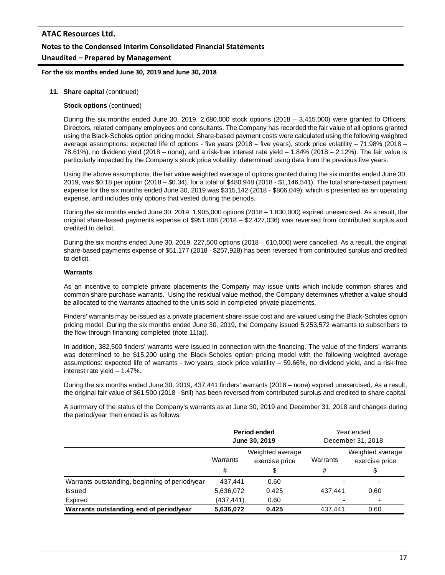# **ATAC Resources Ltd. Notes to the Condensed Interim Consolidated Financial Statements Unaudited – Prepared by Management**

#### **For the six months ended June 30, 2019 and June 30, 2018**

#### **11. Share capital** (continued)

#### **Stock options** (continued)

During the six months ended June 30, 2019, 2,680,000 stock options (2018 – 3,415,000) were granted to Officers, Directors, related company employees and consultants. The Company has recorded the fair value of all options granted using the Black-Scholes option pricing model. Share-based payment costs were calculated using the following weighted average assumptions: expected life of options - five years (2018 – five years), stock price volatility – 71.98% (2018 – 78.61%), no dividend yield (2018 – none), and a risk-free interest rate yield – 1.84% (2018 – 2.12%). The fair value is particularly impacted by the Company's stock price volatility, determined using data from the previous five years.

Using the above assumptions, the fair value weighted average of options granted during the six months ended June 30, 2019, was \$0.18 per option (2018 – \$0.34), for a total of \$480,948 (2018 - \$1,146,541). The total share-based payment expense for the six months ended June 30, 2019 was \$315,142 (2018 - \$806,049), which is presented as an operating expense, and includes only options that vested during the periods.

During the six months ended June 30, 2019, 1,905,000 options (2018 – 1,830,000) expired unexercised. As a result, the original share-based payments expense of \$951,808 (2018 – \$2,427,036) was reversed from contributed surplus and credited to deficit.

During the six months ended June 30, 2019, 227,500 options (2018 – 610,000) were cancelled. As a result, the original share-based payments expense of \$51,177 (2018 - \$257,928) has been reversed from contributed surplus and credited to deficit.

#### **Warrants**

As an incentive to complete private placements the Company may issue units which include common shares and common share purchase warrants. Using the residual value method, the Company determines whether a value should be allocated to the warrants attached to the units sold in completed private placements.

Finders' warrants may be issued as a private placement share issue cost and are valued using the Black-Scholes option pricing model. During the six months ended June 30, 2019, the Company issued 5,253,572 warrants to subscribers to the flow-through financing completed (note 11(a)).

In addition, 382,500 finders' warrants were issued in connection with the financing. The value of the finders' warrants was determined to be \$15,200 using the Black-Scholes option pricing model with the following weighted average assumptions: expected life of warrants - two years, stock price volatility – 59.66%, no dividend yield, and a risk-free interest rate yield – 1.47%.

During the six months ended June 30, 2019, 437,441 finders' warrants (2018 – none) expired unexercised. As a result, the original fair value of \$61,500 (2018 - \$nil) has been reversed from contributed surplus and credited to share capital.

A summary of the status of the Company's warrants as at June 30, 2019 and December 31, 2018 and changes during the period/year then ended is as follows:

|                                                | Period ended<br>June 30, 2019 |                                    |          | Year ended<br>December 31, 2018    |
|------------------------------------------------|-------------------------------|------------------------------------|----------|------------------------------------|
|                                                | Warrants                      | Weighted average<br>exercise price | Warrants | Weighted average<br>exercise price |
|                                                | #                             | \$                                 | #        | \$                                 |
| Warrants outstanding, beginning of period/year | 437.441                       | 0.60                               |          |                                    |
| <b>Issued</b>                                  | 5,636,072                     | 0.425                              | 437.441  | 0.60                               |
| Expired                                        | (437,441)                     | 0.60                               |          |                                    |
| Warrants outstanding, end of period/year       | 5,636,072                     | 0.425                              | 437.441  | 0.60                               |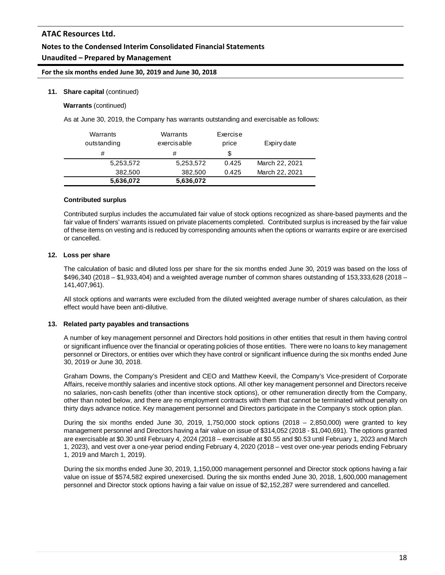# **Notes to the Condensed Interim Consolidated Financial Statements**

# **Unaudited – Prepared by Management**

#### **For the six months ended June 30, 2019 and June 30, 2018**

#### **11. Share capital** (continued)

**Warrants** (continued)

As at June 30, 2019, the Company has warrants outstanding and exercisable as follows:

| Warrants<br>outstanding<br># | Warrants<br>exercisable<br># | Exercise<br>price<br>S | Expiry date    |
|------------------------------|------------------------------|------------------------|----------------|
| 5,253,572                    | 5,253,572                    | 0.425                  | March 22, 2021 |
| 382,500<br>5,636,072         | 382.500<br>5,636,072         | 0.425                  | March 22, 2021 |

#### **Contributed surplus**

Contributed surplus includes the accumulated fair value of stock options recognized as share-based payments and the fair value of finders' warrants issued on private placements completed. Contributed surplus is increased by the fair value of these items on vesting and is reduced by corresponding amounts when the options or warrants expire or are exercised or cancelled.

#### **12. Loss per share**

The calculation of basic and diluted loss per share for the six months ended June 30, 2019 was based on the loss of \$496,340 (2018 – \$1,933,404) and a weighted average number of common shares outstanding of 153,333,628 (2018 – 141,407,961).

All stock options and warrants were excluded from the diluted weighted average number of shares calculation, as their effect would have been anti-dilutive.

#### **13. Related party payables and transactions**

A number of key management personnel and Directors hold positions in other entities that result in them having control or significant influence over the financial or operating policies of those entities. There were no loans to key management personnel or Directors, or entities over which they have control or significant influence during the six months ended June 30, 2019 or June 30, 2018.

Graham Downs, the Company's President and CEO and Matthew Keevil, the Company's Vice-president of Corporate Affairs, receive monthly salaries and incentive stock options. All other key management personnel and Directors receive no salaries, non-cash benefits (other than incentive stock options), or other remuneration directly from the Company, other than noted below, and there are no employment contracts with them that cannot be terminated without penalty on thirty days advance notice. Key management personnel and Directors participate in the Company's stock option plan.

During the six months ended June 30, 2019, 1,750,000 stock options  $(2018 - 2,850,000)$  were granted to key management personnel and Directors having a fair value on issue of \$314,052 (2018 - \$1,040,691). The options granted are exercisable at \$0.30 until February 4, 2024 (2018 – exercisable at \$0.55 and \$0.53 until February 1, 2023 and March 1, 2023), and vest over a one-year period ending February 4, 2020 (2018 – vest over one-year periods ending February 1, 2019 and March 1, 2019).

During the six months ended June 30, 2019, 1,150,000 management personnel and Director stock options having a fair value on issue of \$574,582 expired unexercised. During the six months ended June 30, 2018, 1,600,000 management personnel and Director stock options having a fair value on issue of \$2,152,287 were surrendered and cancelled.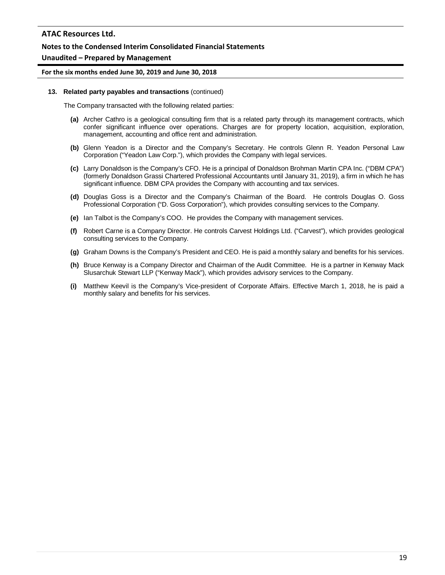#### **Notes to the Condensed Interim Consolidated Financial Statements**

#### **Unaudited – Prepared by Management**

#### **For the six months ended June 30, 2019 and June 30, 2018**

#### **13. Related party payables and transactions** (continued)

The Company transacted with the following related parties:

- **(a)** Archer Cathro is a geological consulting firm that is a related party through its management contracts, which confer significant influence over operations. Charges are for property location, acquisition, exploration, management, accounting and office rent and administration.
- **(b)** Glenn Yeadon is a Director and the Company's Secretary. He controls Glenn R. Yeadon Personal Law Corporation ("Yeadon Law Corp."), which provides the Company with legal services.
- **(c)** Larry Donaldson is the Company's CFO. He is a principal of Donaldson Brohman Martin CPA Inc. ("DBM CPA") (formerly Donaldson Grassi Chartered Professional Accountants until January 31, 2019), a firm in which he has significant influence. DBM CPA provides the Company with accounting and tax services.
- **(d)** Douglas Goss is a Director and the Company's Chairman of the Board. He controls Douglas O. Goss Professional Corporation ("D. Goss Corporation"), which provides consulting services to the Company.
- **(e)** Ian Talbot is the Company's COO. He provides the Company with management services.
- **(f)** Robert Carne is a Company Director. He controls Carvest Holdings Ltd. ("Carvest"), which provides geological consulting services to the Company.
- **(g)** Graham Downs is the Company's President and CEO. He is paid a monthly salary and benefits for his services.
- **(h)** Bruce Kenway is a Company Director and Chairman of the Audit Committee. He is a partner in Kenway Mack Slusarchuk Stewart LLP ("Kenway Mack"), which provides advisory services to the Company.
- **(i)** Matthew Keevil is the Company's Vice-president of Corporate Affairs. Effective March 1, 2018, he is paid a monthly salary and benefits for his services.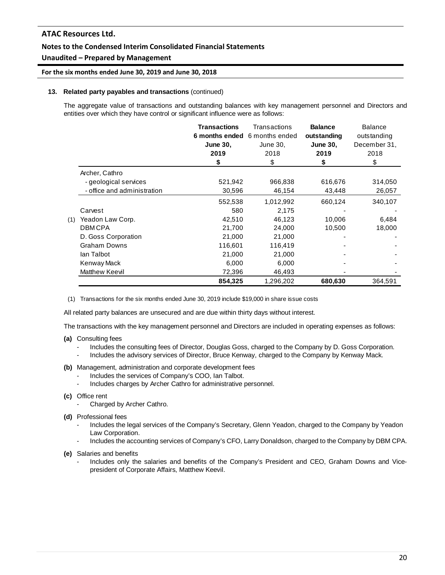### **Notes to the Condensed Interim Consolidated Financial Statements**

### **Unaudited – Prepared by Management**

#### **For the six months ended June 30, 2019 and June 30, 2018**

#### **13. Related party payables and transactions** (continued)

The aggregate value of transactions and outstanding balances with key management personnel and Directors and entities over which they have control or significant influence were as follows:

|     |                             | <b>Transactions</b><br><b>June 30.</b><br>2019<br>\$ | Transactions<br>6 months ended 6 months ended<br>June 30,<br>2018<br>\$ | <b>Balance</b><br>outstanding<br><b>June 30,</b><br>2019<br>S | <b>Balance</b><br>outstanding<br>December 31,<br>2018<br>\$ |
|-----|-----------------------------|------------------------------------------------------|-------------------------------------------------------------------------|---------------------------------------------------------------|-------------------------------------------------------------|
|     | Archer, Cathro              |                                                      |                                                                         |                                                               |                                                             |
|     | - geological services       | 521,942                                              | 966,838                                                                 | 616,676                                                       | 314,050                                                     |
|     | - office and administration | 30,596                                               | 46,154                                                                  | 43,448                                                        | 26,057                                                      |
|     |                             | 552,538                                              | 1,012,992                                                               | 660,124                                                       | 340,107                                                     |
|     | Carvest                     | 580                                                  | 2,175                                                                   |                                                               |                                                             |
| (1) | Yeadon Law Corp.            | 42,510                                               | 46,123                                                                  | 10,006                                                        | 6,484                                                       |
|     | <b>DBMCPA</b>               | 21,700                                               | 24,000                                                                  | 10,500                                                        | 18,000                                                      |
|     | D. Goss Corporation         | 21,000                                               | 21,000                                                                  |                                                               |                                                             |
|     | <b>Graham Downs</b>         | 116,601                                              | 116,419                                                                 |                                                               |                                                             |
|     | lan Talbot                  | 21,000                                               | 21,000                                                                  |                                                               |                                                             |
|     | Kenway Mack                 | 6,000                                                | 6,000                                                                   |                                                               |                                                             |
|     | Matthew Keevil              | 72,396                                               | 46,493                                                                  |                                                               |                                                             |
|     |                             | 854,325                                              | 1,296,202                                                               | 680,630                                                       | 364.591                                                     |

(1) Transactions for the six months ended June 30, 2019 include \$19,000 in share issue costs

All related party balances are unsecured and are due within thirty days without interest.

The transactions with the key management personnel and Directors are included in operating expenses as follows:

- **(a)** Consulting fees
	- Includes the consulting fees of Director, Douglas Goss, charged to the Company by D. Goss Corporation.
	- Includes the advisory services of Director, Bruce Kenway, charged to the Company by Kenway Mack.
- **(b)** Management, administration and corporate development fees
	- Includes the services of Company's COO, Ian Talbot.
	- Includes charges by Archer Cathro for administrative personnel.
- **(c)** Office rent
	- Charged by Archer Cathro.
- **(d)** Professional fees
	- Includes the legal services of the Company's Secretary, Glenn Yeadon, charged to the Company by Yeadon Law Corporation.
	- Includes the accounting services of Company's CFO, Larry Donaldson, charged to the Company by DBM CPA.

**(e)** Salaries and benefits

- Includes only the salaries and benefits of the Company's President and CEO, Graham Downs and Vicepresident of Corporate Affairs, Matthew Keevil.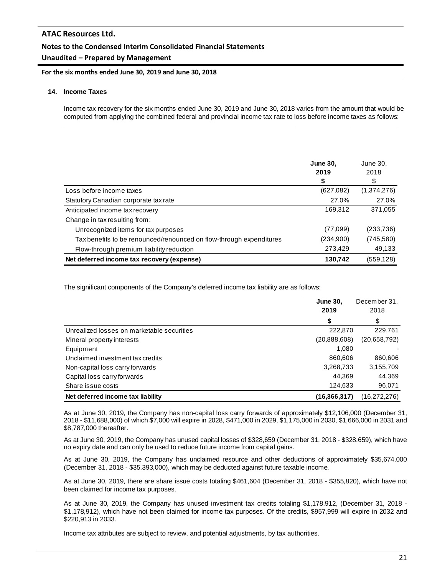# **Notes to the Condensed Interim Consolidated Financial Statements**

# **Unaudited – Prepared by Management**

**For the six months ended June 30, 2019 and June 30, 2018**

#### **14. Income Taxes**

Income tax recovery for the six months ended June 30, 2019 and June 30, 2018 varies from the amount that would be computed from applying the combined federal and provincial income tax rate to loss before income taxes as follows:

|                                                                     | <b>June 30,</b><br>2019<br>\$ | June 30,<br>2018<br>\$ |
|---------------------------------------------------------------------|-------------------------------|------------------------|
| Loss before income taxes                                            | (627,082)                     | (1,374,276)            |
| Statutory Canadian corporate tax rate                               | 27.0%                         | 27.0%                  |
| Anticipated income tax recovery                                     | 169,312                       | 371,055                |
| Change in tax resulting from:                                       |                               |                        |
| Unrecognized items for tax purposes                                 | (77,099)                      | (233, 736)             |
| Tax benefits to be renounced/renounced on flow-through expenditures | (234,900)                     | (745, 580)             |
| Flow-through premium liability reduction                            | 273,429                       | 49,133                 |
| Net deferred income tax recovery (expense)                          | 130,742                       | (559, 128)             |

The significant components of the Company's deferred income tax liability are as follows:

|                                            | <b>June 30.</b><br>2019 | December 31,<br>2018 |
|--------------------------------------------|-------------------------|----------------------|
|                                            | \$                      | \$                   |
| Unrealized losses on marketable securities | 222,870                 | 229,761              |
| Mineral property interests                 | (20, 888, 608)          | (20,658,792)         |
| Equipment                                  | 1.080                   |                      |
| Unclaimed investment tax credits           | 860,606                 | 860,606              |
| Non-capital loss carry forwards            | 3,268,733               | 3,155,709            |
| Capital loss carry forwards                | 44.369                  | 44,369               |
| Share issue costs                          | 124,633                 | 96,071               |
| Net deferred income tax liability          | (16, 366, 317)          | (16, 272, 276)       |

As at June 30, 2019, the Company has non-capital loss carry forwards of approximately \$12,106,000 (December 31, 2018 - \$11,688,000) of which \$7,000 will expire in 2028, \$471,000 in 2029, \$1,175,000 in 2030, \$1,666,000 in 2031 and \$8,787,000 thereafter.

As at June 30, 2019, the Company has unused capital losses of \$328,659 (December 31, 2018 - \$328,659), which have no expiry date and can only be used to reduce future income from capital gains.

As at June 30, 2019, the Company has unclaimed resource and other deductions of approximately \$35,674,000 (December 31, 2018 - \$35,393,000), which may be deducted against future taxable income.

As at June 30, 2019, there are share issue costs totaling \$461,604 (December 31, 2018 - \$355,820), which have not been claimed for income tax purposes.

As at June 30, 2019, the Company has unused investment tax credits totaling \$1,178,912, (December 31, 2018 - \$1,178,912), which have not been claimed for income tax purposes. Of the credits, \$957,999 will expire in 2032 and \$220,913 in 2033.

Income tax attributes are subject to review, and potential adjustments, by tax authorities.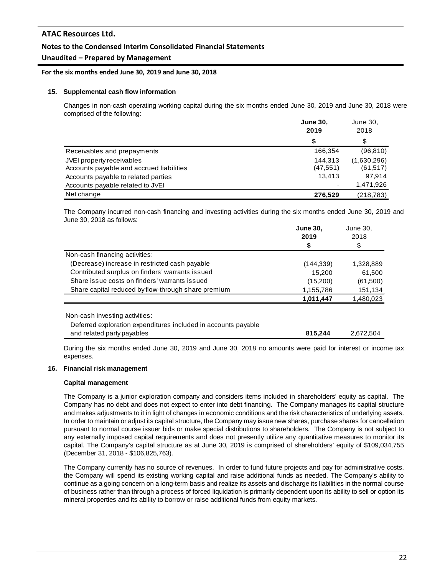### **Notes to the Condensed Interim Consolidated Financial Statements**

### **Unaudited – Prepared by Management**

#### **For the six months ended June 30, 2019 and June 30, 2018**

#### **15. Supplemental cash flow information**

Changes in non-cash operating working capital during the six months ended June 30, 2019 and June 30, 2018 were comprised of the following:

|                                          | <b>June 30,</b><br>2019 | June 30,<br>2018 |  |
|------------------------------------------|-------------------------|------------------|--|
|                                          | S                       | \$               |  |
| Receivables and prepayments              | 166,354                 | (96, 810)        |  |
| JVEI property receivables                | 144.313                 | (1,630,296)      |  |
| Accounts payable and accrued liabilities | (47, 551)               | (61, 517)        |  |
| Accounts payable to related parties      | 13.413                  | 97.914           |  |
| Accounts payable related to JVEI         |                         | 1,471,926        |  |
| Net change                               | 276,529                 | (218, 783)       |  |

The Company incurred non-cash financing and investing activities during the six months ended June 30, 2019 and June 30, 2018 as follows:

|                                                                | <b>June 30,</b> | June 30,  |  |
|----------------------------------------------------------------|-----------------|-----------|--|
|                                                                | 2019            | 2018      |  |
|                                                                | \$              | \$        |  |
| Non-cash financing activities:                                 |                 |           |  |
| (Decrease) increase in restricted cash payable                 | (144, 339)      | 1,328,889 |  |
| Contributed surplus on finders' warrants issued                | 15.200          | 61,500    |  |
| Share issue costs on finders' warrants issued                  | (15,200)        | (61,500)  |  |
| Share capital reduced by flow-through share premium            | 1,155,786       | 151,134   |  |
|                                                                | 1,011,447       | 1,480,023 |  |
| Non-cash investing activities:                                 |                 |           |  |
|                                                                |                 |           |  |
| Deferred exploration expenditures included in accounts payable |                 |           |  |

and related party payables **815,244** 2,672,504

During the six months ended June 30, 2019 and June 30, 2018 no amounts were paid for interest or income tax expenses.

#### **16. Financial risk management**

#### **Capital management**

The Company is a junior exploration company and considers items included in shareholders' equity as capital. The Company has no debt and does not expect to enter into debt financing. The Company manages its capital structure and makes adjustments to it in light of changes in economic conditions and the risk characteristics of underlying assets. In order to maintain or adjust its capital structure, the Company may issue new shares, purchase shares for cancellation pursuant to normal course issuer bids or make special distributions to shareholders. The Company is not subject to any externally imposed capital requirements and does not presently utilize any quantitative measures to monitor its capital. The Company's capital structure as at June 30, 2019 is comprised of shareholders' equity of \$109,034,755 (December 31, 2018 - \$106,825,763).

The Company currently has no source of revenues. In order to fund future projects and pay for administrative costs, the Company will spend its existing working capital and raise additional funds as needed. The Company's ability to continue as a going concern on a long-term basis and realize its assets and discharge its liabilities in the normal course of business rather than through a process of forced liquidation is primarily dependent upon its ability to sell or option its mineral properties and its ability to borrow or raise additional funds from equity markets.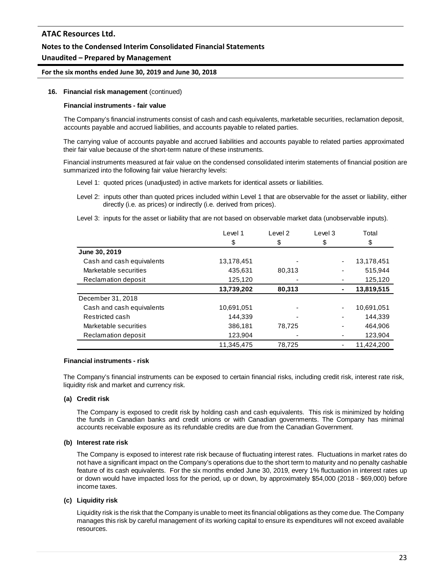### **Notes to the Condensed Interim Consolidated Financial Statements**

### **Unaudited – Prepared by Management**

#### **For the six months ended June 30, 2019 and June 30, 2018**

#### **16. Financial risk management** (continued)

#### **Financial instruments - fair value**

The Company's financial instruments consist of cash and cash equivalents, marketable securities, reclamation deposit, accounts payable and accrued liabilities, and accounts payable to related parties.

The carrying value of accounts payable and accrued liabilities and accounts payable to related parties approximated their fair value because of the short-term nature of these instruments.

Financial instruments measured at fair value on the condensed consolidated interim statements of financial position are summarized into the following fair value hierarchy levels:

Level 1: quoted prices (unadjusted) in active markets for identical assets or liabilities.

Level 2: inputs other than quoted prices included within Level 1 that are observable for the asset or liability, either directly (i.e. as prices) or indirectly (i.e. derived from prices).

Level 3: inputs for the asset or liability that are not based on observable market data (unobservable inputs).

| Level 1    | Level <sub>2</sub> | Level 3        | Total      |
|------------|--------------------|----------------|------------|
| \$         | \$                 | \$             | \$         |
|            |                    |                |            |
| 13,178,451 |                    | ٠              | 13,178,451 |
| 435,631    | 80.313             |                | 515.944    |
| 125,120    |                    |                | 125,120    |
| 13,739,202 | 80.313             | $\blacksquare$ | 13,819,515 |
|            |                    |                |            |
| 10,691,051 |                    | ٠              | 10,691,051 |
| 144,339    |                    |                | 144,339    |
| 386,181    | 78,725             |                | 464.906    |
| 123,904    |                    |                | 123,904    |
| 11,345,475 | 78,725             |                | 11,424,200 |
|            |                    |                |            |

#### **Financial instruments - risk**

The Company's financial instruments can be exposed to certain financial risks, including credit risk, interest rate risk, liquidity risk and market and currency risk.

### **(a) Credit risk**

The Company is exposed to credit risk by holding cash and cash equivalents. This risk is minimized by holding the funds in Canadian banks and credit unions or with Canadian governments. The Company has minimal accounts receivable exposure as its refundable credits are due from the Canadian Government.

#### **(b) Interest rate risk**

The Company is exposed to interest rate risk because of fluctuating interest rates. Fluctuations in market rates do not have a significant impact on the Company's operations due to the short term to maturity and no penalty cashable feature of its cash equivalents. For the six months ended June 30, 2019, every 1% fluctuation in interest rates up or down would have impacted loss for the period, up or down, by approximately \$54,000 (2018 - \$69,000) before income taxes.

### **(c) Liquidity risk**

Liquidity risk is the risk that the Company is unable to meet its financial obligations as they come due. The Company manages this risk by careful management of its working capital to ensure its expenditures will not exceed available resources.